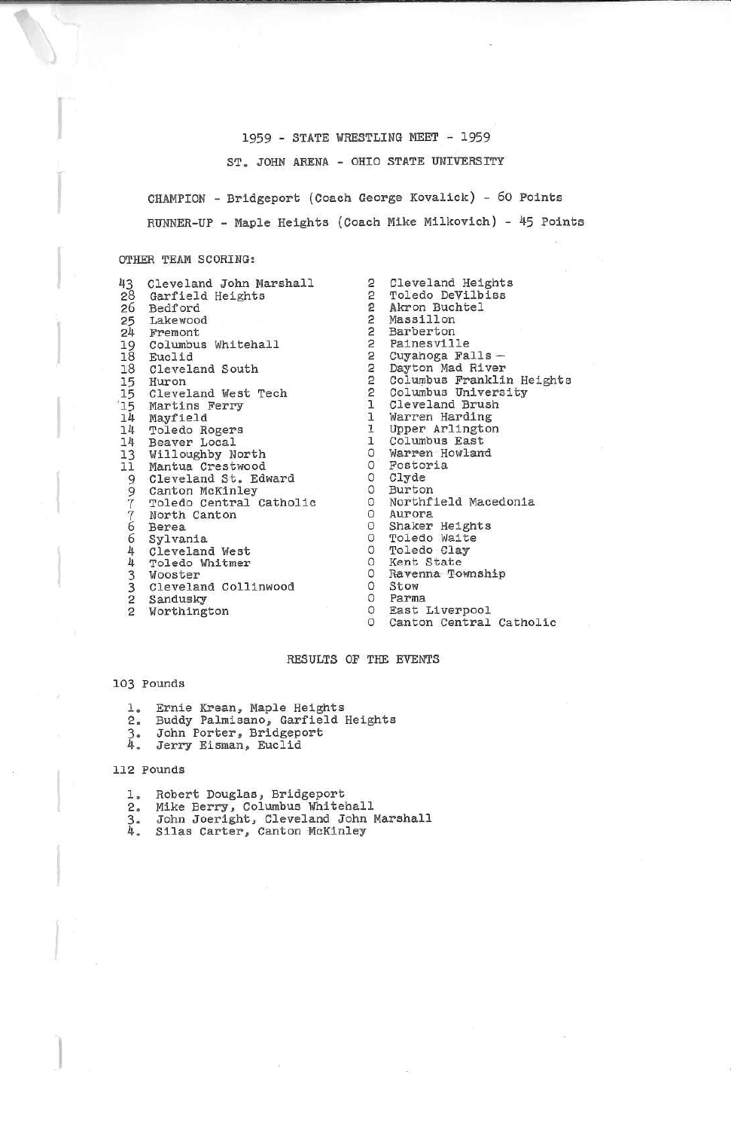# 1959 - STATE WRESTLING MEET - 1959

ST. JOHN ARENA - OHIO STATE UNIVERSITY

CHAMPION - Bridgeport (Coach George Kovaliok) - 60 PointsRUNNER-UP - Maple Heights (Coach Mike Milkovlch) - 45 Points

## OTHER TEAM SCORING:

| 43 | Cleveland John Marshall                                                                                                                                                                                                                                     |  |
|----|-------------------------------------------------------------------------------------------------------------------------------------------------------------------------------------------------------------------------------------------------------------|--|
|    | 28 Garfield Heights                                                                                                                                                                                                                                         |  |
|    | 26 Bedford                                                                                                                                                                                                                                                  |  |
|    |                                                                                                                                                                                                                                                             |  |
|    | 25 Lakewood<br>24 Fremont                                                                                                                                                                                                                                   |  |
|    | 19 Columbus Whitehall                                                                                                                                                                                                                                       |  |
|    | 18 Euclid                                                                                                                                                                                                                                                   |  |
|    | 18 Cleveland South                                                                                                                                                                                                                                          |  |
|    | 15 Huron                                                                                                                                                                                                                                                    |  |
|    | 15 Cleveland West Tech                                                                                                                                                                                                                                      |  |
|    | 15 Martins Ferry                                                                                                                                                                                                                                            |  |
|    | 14 Mayfield                                                                                                                                                                                                                                                 |  |
|    | 14 Toledo Rogers                                                                                                                                                                                                                                            |  |
| 14 | Beaver Local                                                                                                                                                                                                                                                |  |
|    |                                                                                                                                                                                                                                                             |  |
|    |                                                                                                                                                                                                                                                             |  |
|    |                                                                                                                                                                                                                                                             |  |
|    |                                                                                                                                                                                                                                                             |  |
|    |                                                                                                                                                                                                                                                             |  |
|    |                                                                                                                                                                                                                                                             |  |
|    |                                                                                                                                                                                                                                                             |  |
|    |                                                                                                                                                                                                                                                             |  |
|    |                                                                                                                                                                                                                                                             |  |
|    |                                                                                                                                                                                                                                                             |  |
|    |                                                                                                                                                                                                                                                             |  |
|    |                                                                                                                                                                                                                                                             |  |
|    |                                                                                                                                                                                                                                                             |  |
|    | 13 Willoughby North<br>11 Mantua Crestwood<br>9 Cleveland St. Edward<br>9 Canton McKinley<br>7 Toledo Central Catholic<br>7 North Canton<br>6 Berea<br>6 Sylvania<br>4 Cleveland West<br>3 Wooster<br>3 Cleveland Collinwood<br>2 Sandusky<br>2 Northington |  |
|    |                                                                                                                                                                                                                                                             |  |

 $\overline{2}$  22 s 2 2 2 2 2 2 1 1 1 1 0 $\circ$  0 0 $^{\circ}$  $\circ$  $\circ$  $\circ$  $\circ$  0 0 $\circ$  $\circ$  0 $^{\rm o}$ Cleveland Heights Toledo DeVllblBB Akron BuchtelMass 111 on Barberton Painesville Cuyahoga Falls — Dayton Mad RiverColumbus Franklin Heights Columbus UniversityCleveland Brush Warren Hardlng Upper ArlingtonColumbus EastWarren Howland FostoriaClyde Bur ton Northfield MacedoniaAurora Shaker HeightsToledo Walte Toledo Clay Kent State Ravsnna TownshipStow Parma East LiverpoolCanton Central Catholic

# RESULTS OP THE EVENTS

## 103 Pounds

- 1. Ernie Krean, Maple Heights<br>2. Buddy Palmisano, Garfield
- 2. Buddy Palmisano, Garfield Heights
- 3. John Porter, Bridgeport<br>4. Jerry Eisman, Euclid
- Jerry Eisman, Euclid

### 112 Pounds

- 
- 
- l, Robert Douglas, Bridgeport<br>2. Mike Berry, Columbus Whitehall<br>3. John Joeright, Cleveland John Marshall<br>4. Silas Carter, Canton McKinley
-